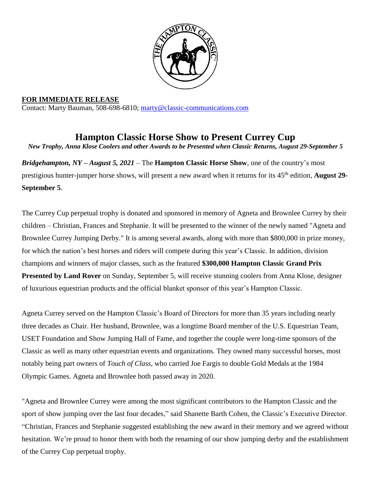

**FOR IMMEDIATE RELEASE** Contact: Marty Bauman, 508-698-6810; [marty@classic-communications.com](about:blank)

**Hampton Classic Horse Show to Present Currey Cup** *New Trophy, Anna Klose Coolers and other Awards to be Presented when Classic Returns, August 29-September 5*

*Bridgehampton, NY – August 5, 2021 –* The **Hampton Classic Horse Show**, one of the country's most prestigious hunter-jumper horse shows, will present a new award when it returns for its 45<sup>th</sup> edition, **August 29-September 5**.

The Currey Cup perpetual trophy is donated and sponsored in memory of Agneta and Brownlee Currey by their children – Christian, Frances and Stephanie. It will be presented to the winner of the newly named "Agneta and Brownlee Currey Jumping Derby." It is among several awards, along with more than \$800,000 in prize money, for which the nation's best horses and riders will compete during this year's Classic. In addition, division champions and winners of major classes, such as the featured **\$300,000 Hampton Classic Grand Prix Presented by Land Rover** on Sunday, September 5, will receive stunning coolers from Anna Klose, designer of luxurious equestrian products and the official blanket sponsor of this year's Hampton Classic.

Agneta Currey served on the Hampton Classic's Board of Directors for more than 35 years including nearly three decades as Chair. Her husband, Brownlee, was a longtime Board member of the U.S. Equestrian Team, USET Foundation and Show Jumping Hall of Fame, and together the couple were long-time sponsors of the Classic as well as many other equestrian events and organizations. They owned many successful horses, most notably being part owners of *Touch of Class*, who carried Joe Fargis to double Gold Medals at the 1984 Olympic Games. Agneta and Brownlee both passed away in 2020.

"Agneta and Brownlee Currey were among the most significant contributors to the Hampton Classic and the sport of show jumping over the last four decades," said Shanette Barth Cohen, the Classic's Executive Director. "Christian, Frances and Stephanie suggested establishing the new award in their memory and we agreed without hesitation. We're proud to honor them with both the renaming of our show jumping derby and the establishment of the Currey Cup perpetual trophy.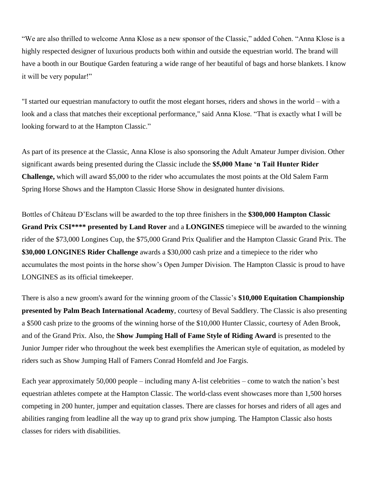"We are also thrilled to welcome Anna Klose as a new sponsor of the Classic," added Cohen. "Anna Klose is a highly respected designer of luxurious products both within and outside the equestrian world. The brand will have a booth in our Boutique Garden featuring a wide range of her beautiful of bags and horse blankets. I know it will be very popular!"

"I started our equestrian manufactory to outfit the most elegant horses, riders and shows in the world – with a look and a class that matches their exceptional performance," said Anna Klose. "That is exactly what I will be looking forward to at the Hampton Classic."

As part of its presence at the Classic, Anna Klose is also sponsoring the Adult Amateur Jumper division. Other significant awards being presented during the Classic include the **\$5,000 Mane 'n Tail Hunter Rider Challenge,** which will award \$5,000 to the rider who accumulates the most points at the Old Salem Farm Spring Horse Shows and the Hampton Classic Horse Show in designated hunter divisions.

Bottles of Château D'Esclans will be awarded to the top three finishers in the **\$300,000 Hampton Classic Grand Prix CSI\*\*\*\* presented by Land Rover** and a **LONGINES** timepiece will be awarded to the winning rider of the \$73,000 Longines Cup, the \$75,000 Grand Prix Qualifier and the Hampton Classic Grand Prix. The **\$30,000 LONGINES Rider Challenge** awards a \$30,000 cash prize and a timepiece to the rider who accumulates the most points in the horse show's Open Jumper Division. The Hampton Classic is proud to have LONGINES as its official timekeeper.

There is also a new groom's award for the winning groom of the Classic's **\$10,000 Equitation Championship presented by Palm Beach International Academy**, courtesy of Beval Saddlery. The Classic is also presenting a \$500 cash prize to the grooms of the winning horse of the \$10,000 Hunter Classic, courtesy of Aden Brook, and of the Grand Prix. Also, the **Show Jumping Hall of Fame Style of Riding Award** is presented to the Junior Jumper rider who throughout the week best exemplifies the American style of equitation, as modeled by riders such as Show Jumping Hall of Famers Conrad Homfeld and Joe Fargis.

Each year approximately 50,000 people – including many A-list celebrities – come to watch the nation's best equestrian athletes compete at the Hampton Classic. The world-class event showcases more than 1,500 horses competing in 200 hunter, jumper and equitation classes. There are classes for horses and riders of all ages and abilities ranging from leadline all the way up to grand prix show jumping. The Hampton Classic also hosts classes for riders with disabilities.